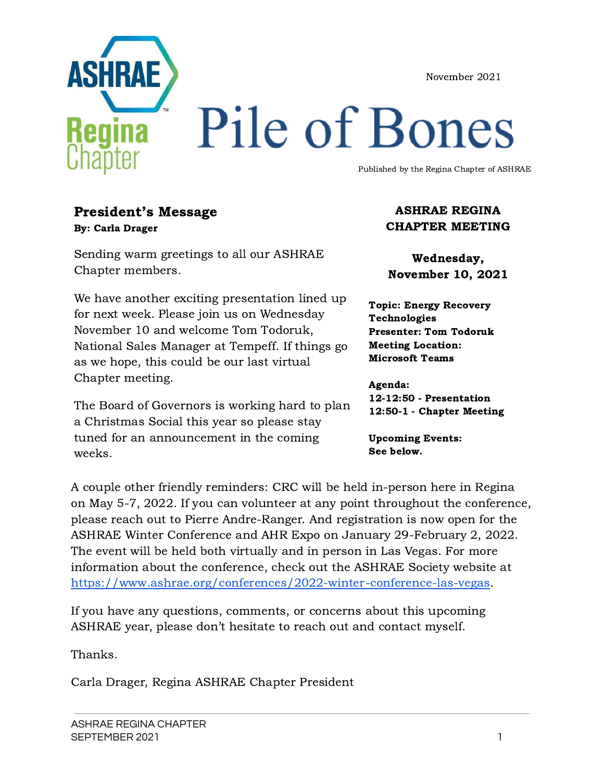November 2021



# Pile of Bones

Published by the Regina Chapter of ASHRAE

#### President's Message By: Carla Drager

Sending warm greetings to all our ASHRAE Chapter members.

We have another exciting presentation lined up for next week. Please join us on Wednesday November 10 and welcome Tom Todoruk, National Sales Manager at Tempeff. If things go as we hope, this could be our last virtual Chapter meeting.

The Board of Governors is working hard to plan a Christmas Social this year so please stay tuned for an announcement in the coming weeks.

#### ASHRAE REGINA CHAPTER MEETING

Wednesday, November 10, 2021

Topic: Energy Recovery Technologies Presenter: Tom Todoruk Meeting Location: Microsoft Teams

Agenda: 12-12:50 - Presentation 12:50-1 - Chapter Meeting

Upcoming Events: See below.

A couple other friendly reminders: CRC will be held in-person here in Regina on May 5-7, 2022. If you can volunteer at any point throughout the conference, please reach out to Pierre Andre-Ranger. And registration is now open for the ASHRAE Winter Conference and AHR Expo on January 29-February 2, 2022. The event will be held both virtually and in person in Las Vegas. For more information about the conference, check out the ASHRAE Society website at <https://www.ashrae.org/conferences/2022-winter-conference-las-vegas>.

If you have any questions, comments, or concerns about this upcoming ASHRAE year, please don't hesitate to reach out and contact myself.

Thanks.

Carla Drager, Regina ASHRAE Chapter President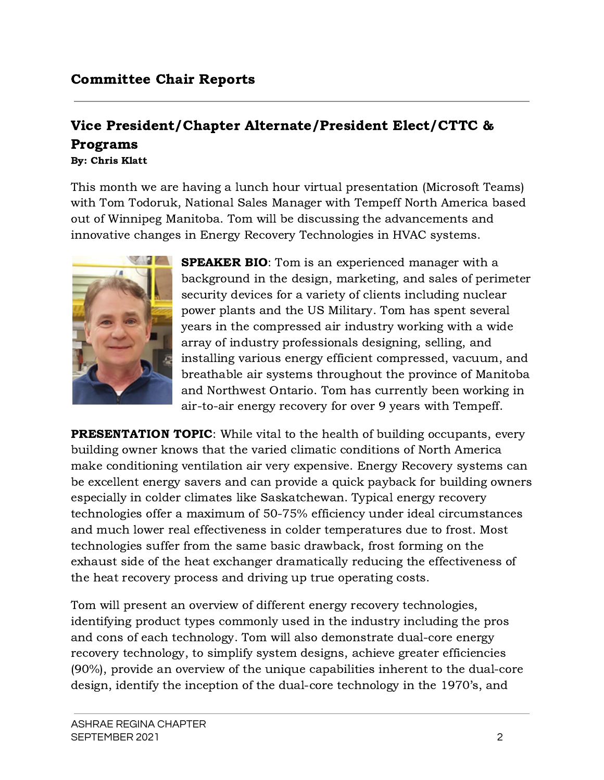#### Vice President/Chapter Alternate/President Elect/CTTC & Programs By: Chris Klatt

This month we are having a lunch hour virtual presentation (Microsoft Teams) with Tom Todoruk, National Sales Manager with Tempeff North America based out of Winnipeg Manitoba. Tom will be discussing the advancements and innovative changes in Energy Recovery Technologies in HVAC systems.



**SPEAKER BIO:** Tom is an experienced manager with a background in the design, marketing, and sales of perimeter security devices for a variety of clients including nuclear power plants and the US Military. Tom has spent several years in the compressed air industry working with a wide array of industry professionals designing, selling, and installing various energy efficient compressed, vacuum, and breathable air systems throughout the province of Manitoba and Northwest Ontario. Tom has currently been working in air-to-air energy recovery for over 9 years with Tempeff.

**PRESENTATION TOPIC:** While vital to the health of building occupants, every building owner knows that the varied climatic conditions of North America make conditioning ventilation air very expensive. Energy Recovery systems can be excellent energy savers and can provide a quick payback for building owners especially in colder climates like Saskatchewan. Typical energy recovery technologies offer a maximum of 50-75% efficiency under ideal circumstances and much lower real effectiveness in colder temperatures due to frost. Most technologies suffer from the same basic drawback, frost forming on the exhaust side of the heat exchanger dramatically reducing the effectiveness of the heat recovery process and driving up true operating costs.

Tom will present an overview of different energy recovery technologies, identifying product types commonly used in the industry including the pros and cons of each technology. Tom will also demonstrate dual-core energy recovery technology, to simplify system designs, achieve greater efficiencies (90%), provide an overview of the unique capabilities inherent to the dual-core design, identify the inception of the dual-core technology in the 1970's, and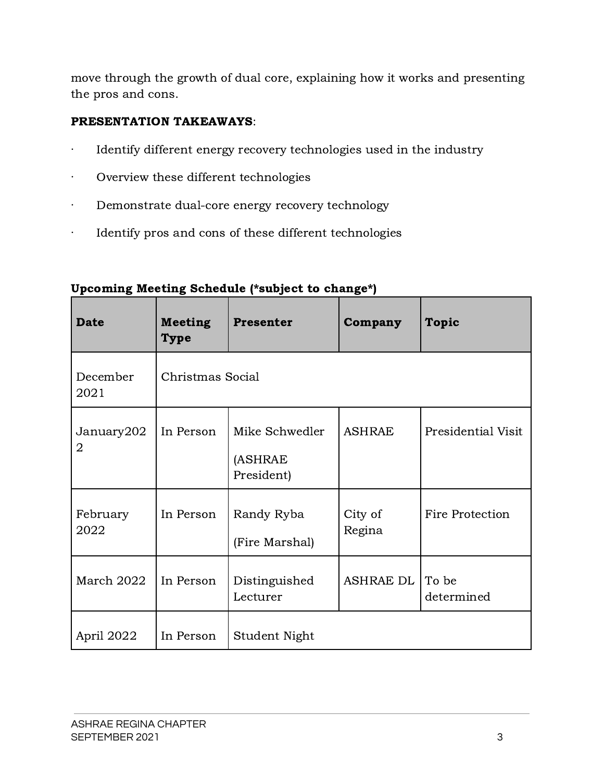move through the growth of dual core, explaining how it works and presenting the pros and cons.

#### PRESENTATION TAKEAWAYS:

- · Identify different energy recovery technologies used in the industry
- · Overview these different technologies
- · Demonstrate dual-core energy recovery technology
- · Identify pros and cons of these different technologies

| <b>Date</b>                  | <b>Meeting</b><br><b>Type</b> | <b>Presenter</b>                        | Company           | <b>Topic</b>           |  |
|------------------------------|-------------------------------|-----------------------------------------|-------------------|------------------------|--|
| December<br>2021             | Christmas Social              |                                         |                   |                        |  |
| January202<br>$\overline{2}$ | In Person                     | Mike Schwedler<br>(ASHRAE<br>President) | <b>ASHRAE</b>     | Presidential Visit     |  |
| February<br>2022             | In Person                     | Randy Ryba<br>(Fire Marshal)            | City of<br>Regina | <b>Fire Protection</b> |  |
| March 2022                   | In Person                     | Distinguished<br>Lecturer               | <b>ASHRAE DL</b>  | To be<br>determined    |  |
| April 2022                   | In Person                     | Student Night                           |                   |                        |  |

#### Upcoming Meeting Schedule (\*subject to change\*)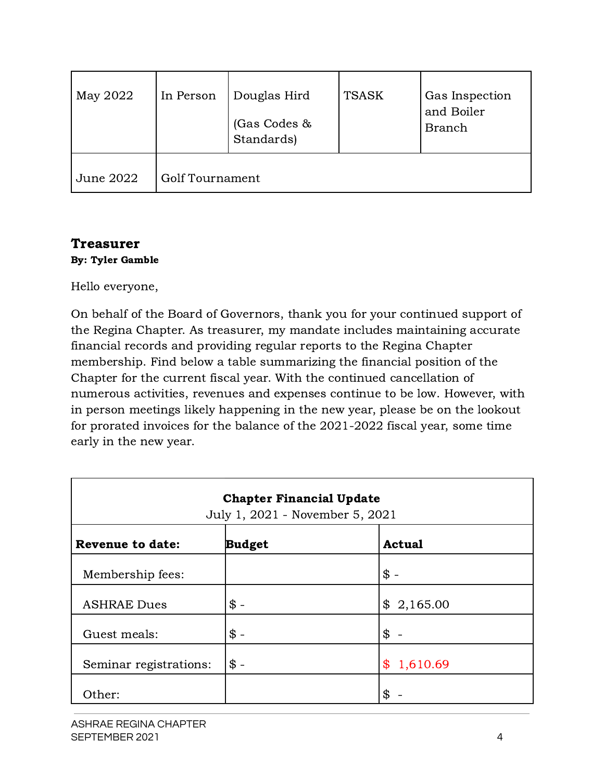| May 2022  | In Person              | Douglas Hird<br>(Gas Codes &<br>Standards) | <b>TSASK</b> | Gas Inspection<br>and Boiler<br><b>Branch</b> |
|-----------|------------------------|--------------------------------------------|--------------|-----------------------------------------------|
| June 2022 | <b>Golf Tournament</b> |                                            |              |                                               |

# Treasurer

#### By: Tyler Gamble

Hello everyone,

On behalf of the Board of Governors, thank you for your continued support of the Regina Chapter. As treasurer, my mandate includes maintaining accurate financial records and providing regular reports to the Regina Chapter membership. Find below a table summarizing the financial position of the Chapter for the current fiscal year. With the continued cancellation of numerous activities, revenues and expenses continue to be low. However, with in person meetings likely happening in the new year, please be on the lookout for prorated invoices for the balance of the 2021-2022 fiscal year, some time early in the new year.

| <b>Chapter Financial Update</b><br>July 1, 2021 - November 5, 2021 |                 |                                        |  |  |  |
|--------------------------------------------------------------------|-----------------|----------------------------------------|--|--|--|
| <b>Revenue to date:</b>                                            | <b>Budget</b>   | <b>Actual</b>                          |  |  |  |
| Membership fees:                                                   |                 | $\mathcal{S}$ -                        |  |  |  |
| <b>ASHRAE Dues</b>                                                 | $\frac{1}{2}$   | \$2,165.00                             |  |  |  |
| Guest meals:                                                       | $$ -$           | \$                                     |  |  |  |
| Seminar registrations:                                             | $\mathsf{\$}$ - | $\boldsymbol{\mathcal{F}}$<br>1,610.69 |  |  |  |
| Other:                                                             |                 | \$                                     |  |  |  |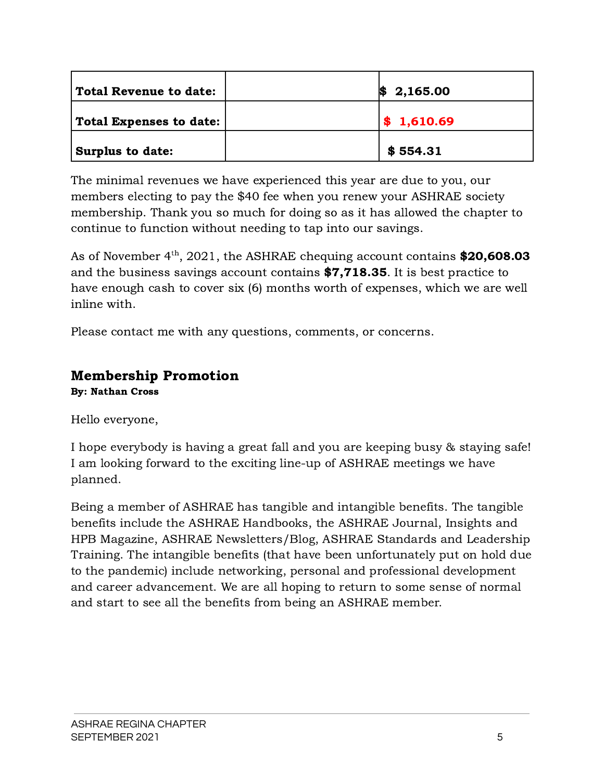| Total Revenue to date:                | 2,165.00   |
|---------------------------------------|------------|
| $\mid$ Total Expenses to date: $\mid$ | \$1,610.69 |
| <b>Surplus to date:</b>               | \$554.31   |

The minimal revenues we have experienced this year are due to you, our members electing to pay the \$40 fee when you renew your ASHRAE society membership. Thank you so much for doing so as it has allowed the chapter to continue to function without needing to tap into our savings.

As of November  $4<sup>th</sup>$ , 2021, the ASHRAE chequing account contains **\$20,608.03** and the business savings account contains \$7,718.35. It is best practice to have enough cash to cover six (6) months worth of expenses, which we are well inline with.

Please contact me with any questions, comments, or concerns.

# Membership Promotion

By: Nathan Cross

Hello everyone,

I hope everybody is having a great fall and you are keeping busy & staying safe! I am looking forward to the exciting line-up of ASHRAE meetings we have planned.

Being a member of ASHRAE has tangible and intangible benefits. The tangible benefits include the ASHRAE Handbooks, the ASHRAE Journal, Insights and HPB Magazine, ASHRAE Newsletters/Blog, ASHRAE Standards and Leadership Training. The intangible benefits (that have been unfortunately put on hold due to the pandemic) include networking, personal and professional development and career advancement. We are all hoping to return to some sense of normal and start to see all the benefits from being an ASHRAE member.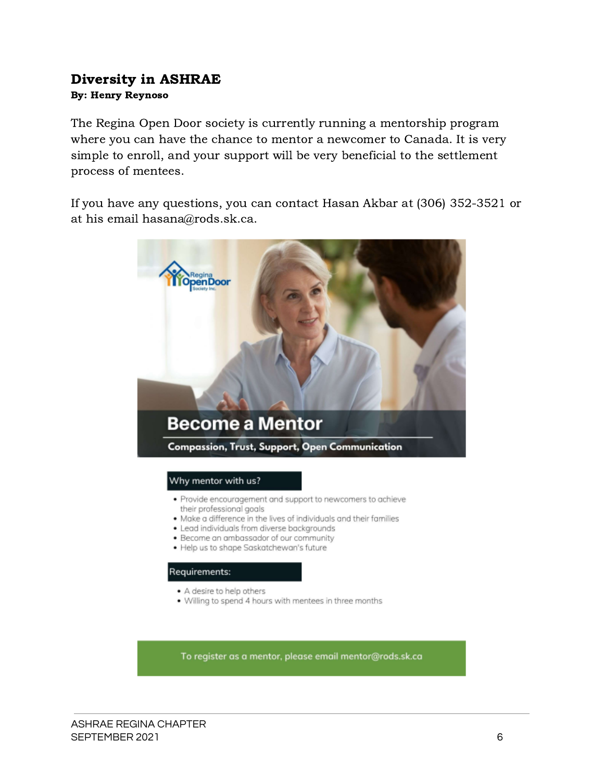#### Diversity in ASHRAE By: Henry Reynoso

The Regina Open Door society is currently running a mentorship program where you can have the chance to mentor a newcomer to Canada. It is very simple to enroll, and your support will be very beneficial to the settlement process of mentees.

If you have any questions, you can contact Hasan Akbar at (306) 352-3521 or at his email hasana@rods.sk.ca.



#### Why mentor with us?

- · Provide encouragement and support to newcomers to achieve their professional goals
- . Make a difference in the lives of individuals and their families
- · Lead individuals from diverse backgrounds
- · Become an ambassador of our community
- · Help us to shape Saskatchewan's future

#### Requirements:

- · A desire to help others
- . Willing to spend 4 hours with mentees in three months

To register as a mentor, please email mentor@rods.sk.ca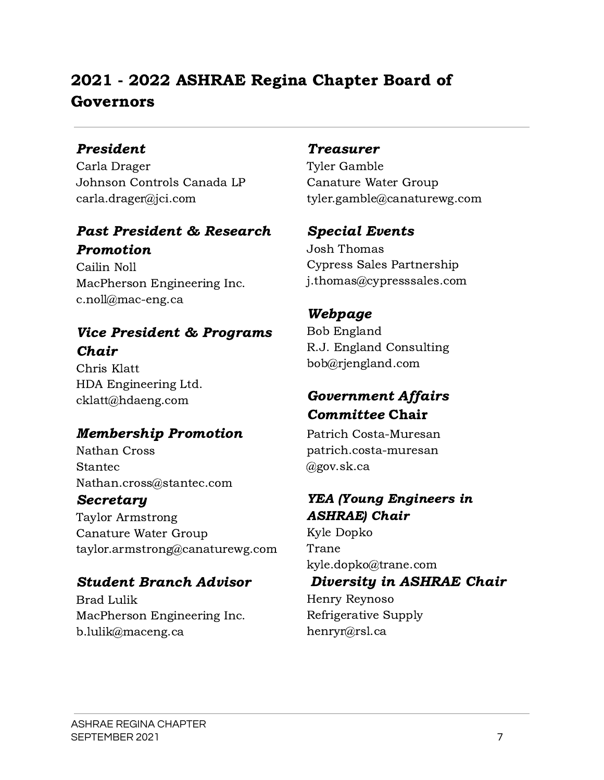# 2021 - 2022 ASHRAE Regina Chapter Board of Governors

## President

Carla Drager Johnson Controls Canada LP carla.drager@jci.com

# Past President & Research Promotion

Cailin Noll MacPherson Engineering Inc. c.noll@mac-eng.ca

# Vice President & Programs Chair

Chris Klatt HDA Engineering Ltd. cklatt@hdaeng.com

# Membership Promotion

Nathan Cross Stantec Nathan.cross@stantec.com

## Secretary

Taylor Armstrong Canature Water Group taylor.armstrong@canaturewg.com

# Student Branch Advisor

Brad Lulik MacPherson Engineering Inc. b.lulik@maceng.ca

## Treasurer

Tyler Gamble Canature Water Group tyler.gamble@canaturewg.com

# Special Events

Josh Thomas Cypress Sales Partnership [j.thomas@cypresssales.com](mailto:j.thomas@cypresssales.com)

# Webpage

Bob England R.J. England Consulting bob@rjengland.com

# Government Affairs Committee Chair

Patrich Costa-Muresan [patrich.costa-muresan](mailto:patrich.costa-muresan@gov.sk.ca) [@gov.sk.ca](mailto:patrich.costa-muresan@gov.sk.ca)

# YEA (Young Engineers in ASHRAE) Chair

Kyle Dopko Trane kyle.dopko@trane.com

# Diversity in ASHRAE Chair

Henry Reynoso Refrigerative Supply henryr@rsl.ca